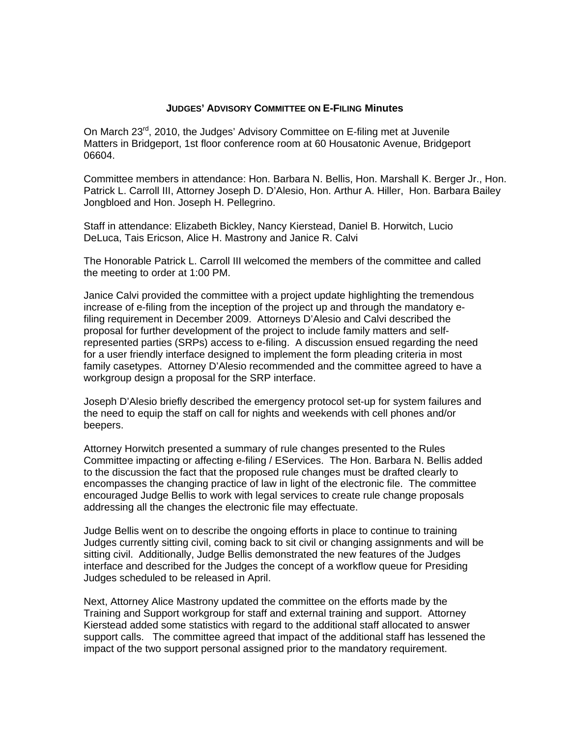## **JUDGES' ADVISORY COMMITTEE ON E-FILING Minutes**

On March 23<sup>rd</sup>, 2010, the Judges' Advisory Committee on E-filing met at Juvenile Matters in Bridgeport, 1st floor conference room at 60 Housatonic Avenue, Bridgeport 06604.

Committee members in attendance: Hon. Barbara N. Bellis, Hon. Marshall K. Berger Jr., Hon. Patrick L. Carroll III, Attorney Joseph D. D'Alesio, Hon. Arthur A. Hiller, Hon. Barbara Bailey Jongbloed and Hon. Joseph H. Pellegrino.

Staff in attendance: Elizabeth Bickley, Nancy Kierstead, Daniel B. Horwitch, Lucio DeLuca, Tais Ericson, Alice H. Mastrony and Janice R. Calvi

The Honorable Patrick L. Carroll III welcomed the members of the committee and called the meeting to order at 1:00 PM.

Janice Calvi provided the committee with a project update highlighting the tremendous increase of e-filing from the inception of the project up and through the mandatory efiling requirement in December 2009. Attorneys D'Alesio and Calvi described the proposal for further development of the project to include family matters and selfrepresented parties (SRPs) access to e-filing. A discussion ensued regarding the need for a user friendly interface designed to implement the form pleading criteria in most family casetypes. Attorney D'Alesio recommended and the committee agreed to have a workgroup design a proposal for the SRP interface.

Joseph D'Alesio briefly described the emergency protocol set-up for system failures and the need to equip the staff on call for nights and weekends with cell phones and/or beepers.

Attorney Horwitch presented a summary of rule changes presented to the Rules Committee impacting or affecting e-filing / EServices. The Hon. Barbara N. Bellis added to the discussion the fact that the proposed rule changes must be drafted clearly to encompasses the changing practice of law in light of the electronic file. The committee encouraged Judge Bellis to work with legal services to create rule change proposals addressing all the changes the electronic file may effectuate.

Judge Bellis went on to describe the ongoing efforts in place to continue to training Judges currently sitting civil, coming back to sit civil or changing assignments and will be sitting civil. Additionally, Judge Bellis demonstrated the new features of the Judges interface and described for the Judges the concept of a workflow queue for Presiding Judges scheduled to be released in April.

Next, Attorney Alice Mastrony updated the committee on the efforts made by the Training and Support workgroup for staff and external training and support. Attorney Kierstead added some statistics with regard to the additional staff allocated to answer support calls. The committee agreed that impact of the additional staff has lessened the impact of the two support personal assigned prior to the mandatory requirement.